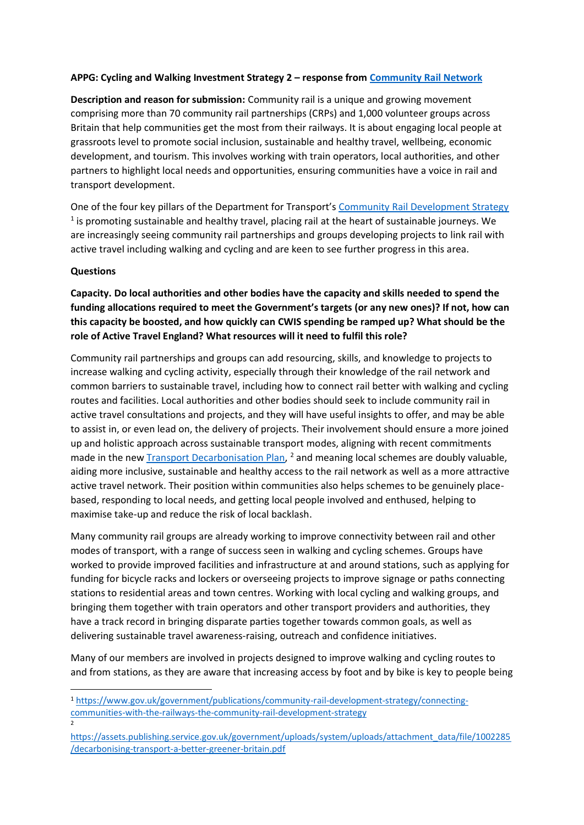### **APPG: Cycling and Walking Investment Strategy 2 – response from [Community Rail Network](https://communityrail.org.uk/)**

**Description and reason for submission:** Community rail is a unique and growing movement comprising more than 70 community rail partnerships (CRPs) and 1,000 volunteer groups across Britain that help communities get the most from their railways. It is about engaging local people at grassroots level to promote social inclusion, sustainable and healthy travel, wellbeing, economic development, and tourism. This involves working with train operators, local authorities, and other partners to highlight local needs and opportunities, ensuring communities have a voice in rail and transport development.

One of the four key pillars of the Department for Transport's [Community Rail Development Strategy](https://www.gov.uk/government/publications/community-rail-development-strategy/connecting-communities-with-the-railways-the-community-rail-development-strategy) <sup>1</sup> is promoting sustainable and healthy travel, placing rail at the heart of sustainable journeys. We are increasingly seeing community rail partnerships and groups developing projects to link rail with active travel including walking and cycling and are keen to see further progress in this area.

### **Questions**

**Capacity. Do local authorities and other bodies have the capacity and skills needed to spend the funding allocations required to meet the Government's targets (or any new ones)? If not, how can this capacity be boosted, and how quickly can CWIS spending be ramped up? What should be the role of Active Travel England? What resources will it need to fulfil this role?**

Community rail partnerships and groups can add resourcing, skills, and knowledge to projects to increase walking and cycling activity, especially through their knowledge of the rail network and common barriers to sustainable travel, including how to connect rail better with walking and cycling routes and facilities. Local authorities and other bodies should seek to include community rail in active travel consultations and projects, and they will have useful insights to offer, and may be able to assist in, or even lead on, the delivery of projects. Their involvement should ensure a more joined up and holistic approach across sustainable transport modes, aligning with recent commitments made in the new **Transport Decarbonisation Plan**, <sup>2</sup> and meaning local schemes are doubly valuable, aiding more inclusive, sustainable and healthy access to the rail network as well as a more attractive active travel network. Their position within communities also helps schemes to be genuinely placebased, responding to local needs, and getting local people involved and enthused, helping to maximise take-up and reduce the risk of local backlash.

Many community rail groups are already working to improve connectivity between rail and other modes of transport, with a range of success seen in walking and cycling schemes. Groups have worked to provide improved facilities and infrastructure at and around stations, such as applying for funding for bicycle racks and lockers or overseeing projects to improve signage or paths connecting stations to residential areas and town centres. Working with local cycling and walking groups, and bringing them together with train operators and other transport providers and authorities, they have a track record in bringing disparate parties together towards common goals, as well as delivering sustainable travel awareness-raising, outreach and confidence initiatives.

Many of our members are involved in projects designed to improve walking and cycling routes to and from stations, as they are aware that increasing access by foot and by bike is key to people being

<sup>1</sup> [https://www.gov.uk/government/publications/community-rail-development-strategy/connecting](https://www.gov.uk/government/publications/community-rail-development-strategy/connecting-communities-with-the-railways-the-community-rail-development-strategy)[communities-with-the-railways-the-community-rail-development-strategy](https://www.gov.uk/government/publications/community-rail-development-strategy/connecting-communities-with-the-railways-the-community-rail-development-strategy) 2

[https://assets.publishing.service.gov.uk/government/uploads/system/uploads/attachment\\_data/file/1002285](https://assets.publishing.service.gov.uk/government/uploads/system/uploads/attachment_data/file/1002285/decarbonising-transport-a-better-greener-britain.pdf) [/decarbonising-transport-a-better-greener-britain.pdf](https://assets.publishing.service.gov.uk/government/uploads/system/uploads/attachment_data/file/1002285/decarbonising-transport-a-better-greener-britain.pdf)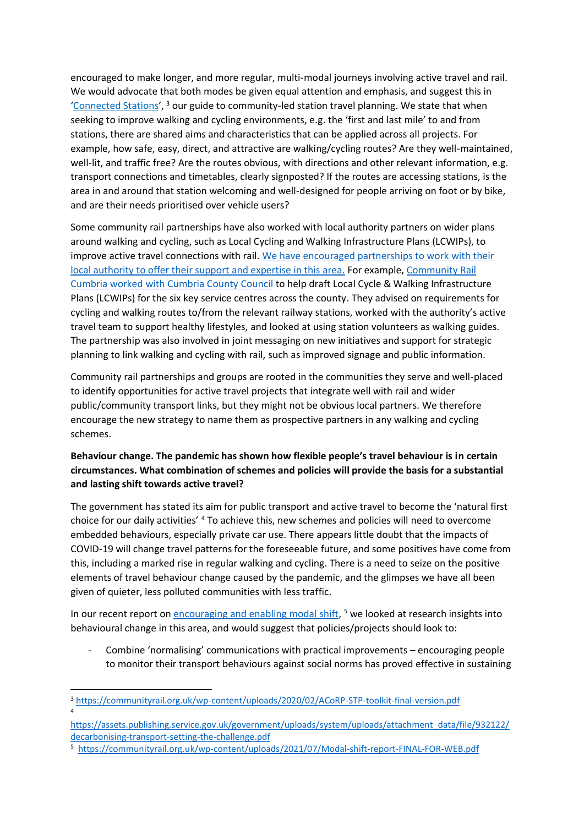encouraged to make longer, and more regular, multi-modal journeys involving active travel and rail. We would advocate that both modes be given equal attention and emphasis, and suggest this in '[Connected Stations](https://communityrail.org.uk/wp-content/uploads/2020/02/ACoRP-STP-toolkit-final-version.pdf)', <sup>3</sup> our guide to community-led station travel planning. We state that when seeking to improve walking and cycling environments, e.g. the 'first and last mile' to and from stations, there are shared aims and characteristics that can be applied across all projects. For example, how safe, easy, direct, and attractive are walking/cycling routes? Are they well-maintained, well-lit, and traffic free? Are the routes obvious, with directions and other relevant information, e.g. transport connections and timetables, clearly signposted? If the routes are accessing stations, is the area in and around that station welcoming and well-designed for people arriving on foot or by bike, and are their needs prioritised over vehicle users?

Some community rail partnerships have also worked with local authority partners on wider plans around walking and cycling, such as Local Cycling and Walking Infrastructure Plans (LCWIPs), to improve active travel connections with rail. We [have encouraged partnerships to work with their](https://communityrail.org.uk/lcwips-mar19/)  [local authority to offer their support and expertise in this area.](https://communityrail.org.uk/lcwips-mar19/) For example, [Community Rail](https://communityrail.org.uk/community-rail-cumbria-walking/)  [Cumbria worked with Cumbria County Council](https://communityrail.org.uk/community-rail-cumbria-walking/) to help draft Local Cycle & Walking Infrastructure Plans (LCWIPs) for the six key service centres across the county. They advised on requirements for cycling and walking routes to/from the relevant railway stations, worked with the authority's active travel team to support healthy lifestyles, and looked at using station volunteers as walking guides. The partnership was also involved in joint messaging on new initiatives and support for strategic planning to link walking and cycling with rail, such as improved signage and public information.

Community rail partnerships and groups are rooted in the communities they serve and well-placed to identify opportunities for active travel projects that integrate well with rail and wider public/community transport links, but they might not be obvious local partners. We therefore encourage the new strategy to name them as prospective partners in any walking and cycling schemes.

## **Behaviour change. The pandemic has shown how flexible people's travel behaviour is in certain circumstances. What combination of schemes and policies will provide the basis for a substantial and lasting shift towards active travel?**

The government has stated its aim for public transport and active travel to become the 'natural first choice for our daily activities' <sup>4</sup> To achieve this, new schemes and policies will need to overcome embedded behaviours, especially private car use. There appears little doubt that the impacts of COVID-19 will change travel patterns for the foreseeable future, and some positives have come from this, including a marked rise in regular walking and cycling. There is a need to seize on the positive elements of travel behaviour change caused by the pandemic, and the glimpses we have all been given of quieter, less polluted communities with less traffic.

In our recent report on **encouraging and enabling modal shift**,<sup>5</sup> we looked at research insights into behavioural change in this area, and would suggest that policies/projects should look to:

- Combine 'normalising' communications with practical improvements – encouraging people to monitor their transport behaviours against social norms has proved effective in sustaining

<sup>3</sup> <https://communityrail.org.uk/wp-content/uploads/2020/02/ACoRP-STP-toolkit-final-version.pdf> 4

[https://assets.publishing.service.gov.uk/government/uploads/system/uploads/attachment\\_data/file/932122/](https://assets.publishing.service.gov.uk/government/uploads/system/uploads/attachment_data/file/932122/decarbonising-transport-setting-the-challenge.pdf) [decarbonising-transport-setting-the-challenge.pdf](https://assets.publishing.service.gov.uk/government/uploads/system/uploads/attachment_data/file/932122/decarbonising-transport-setting-the-challenge.pdf)

<sup>5</sup> <https://communityrail.org.uk/wp-content/uploads/2021/07/Modal-shift-report-FINAL-FOR-WEB.pdf>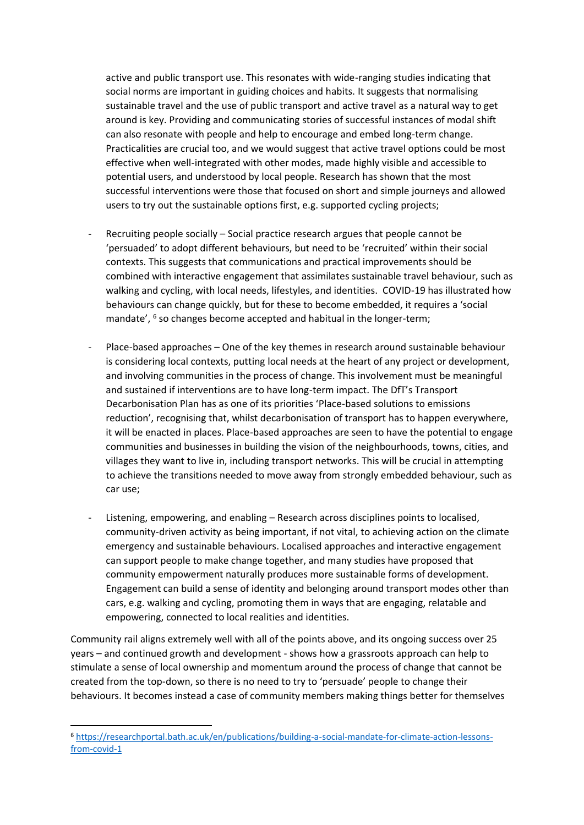active and public transport use. This resonates with wide-ranging studies indicating that social norms are important in guiding choices and habits. It suggests that normalising sustainable travel and the use of public transport and active travel as a natural way to get around is key. Providing and communicating stories of successful instances of modal shift can also resonate with people and help to encourage and embed long-term change. Practicalities are crucial too, and we would suggest that active travel options could be most effective when well-integrated with other modes, made highly visible and accessible to potential users, and understood by local people. Research has shown that the most successful interventions were those that focused on short and simple journeys and allowed users to try out the sustainable options first, e.g. supported cycling projects;

- Recruiting people socially Social practice research argues that people cannot be 'persuaded' to adopt different behaviours, but need to be 'recruited' within their social contexts. This suggests that communications and practical improvements should be combined with interactive engagement that assimilates sustainable travel behaviour, such as walking and cycling, with local needs, lifestyles, and identities. COVID-19 has illustrated how behaviours can change quickly, but for these to become embedded, it requires a 'social mandate', <sup>6</sup> so changes become accepted and habitual in the longer-term;
- Place-based approaches One of the key themes in research around sustainable behaviour is considering local contexts, putting local needs at the heart of any project or development, and involving communities in the process of change. This involvement must be meaningful and sustained if interventions are to have long-term impact. The DfT's Transport Decarbonisation Plan has as one of its priorities 'Place-based solutions to emissions reduction', recognising that, whilst decarbonisation of transport has to happen everywhere, it will be enacted in places. Place-based approaches are seen to have the potential to engage communities and businesses in building the vision of the neighbourhoods, towns, cities, and villages they want to live in, including transport networks. This will be crucial in attempting to achieve the transitions needed to move away from strongly embedded behaviour, such as car use;
- Listening, empowering, and enabling Research across disciplines points to localised, community-driven activity as being important, if not vital, to achieving action on the climate emergency and sustainable behaviours. Localised approaches and interactive engagement can support people to make change together, and many studies have proposed that community empowerment naturally produces more sustainable forms of development. Engagement can build a sense of identity and belonging around transport modes other than cars, e.g. walking and cycling, promoting them in ways that are engaging, relatable and empowering, connected to local realities and identities.

Community rail aligns extremely well with all of the points above, and its ongoing success over 25 years – and continued growth and development - shows how a grassroots approach can help to stimulate a sense of local ownership and momentum around the process of change that cannot be created from the top-down, so there is no need to try to 'persuade' people to change their behaviours. It becomes instead a case of community members making things better for themselves

<sup>6</sup> [https://researchportal.bath.ac.uk/en/publications/building-a-social-mandate-for-climate-action-lessons](https://researchportal.bath.ac.uk/en/publications/building-a-social-mandate-for-climate-action-lessons-from-covid-1)[from-covid-1](https://researchportal.bath.ac.uk/en/publications/building-a-social-mandate-for-climate-action-lessons-from-covid-1)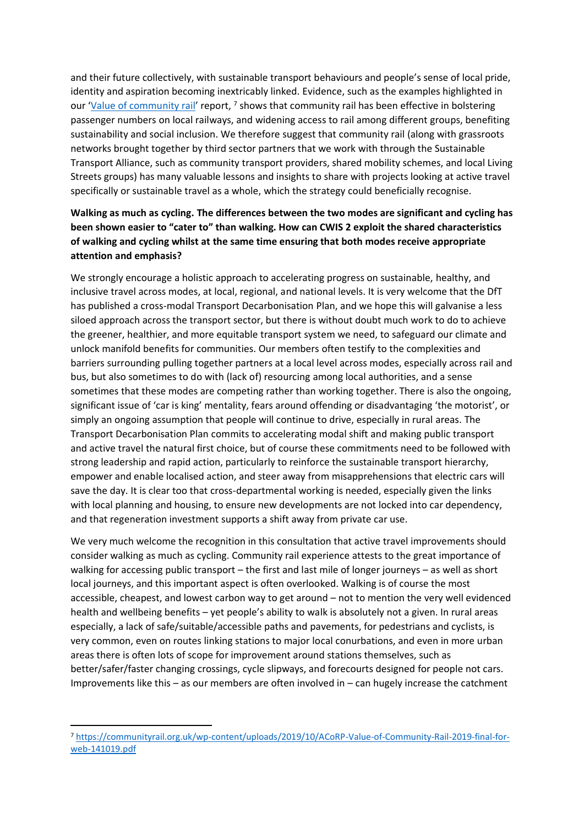and their future collectively, with sustainable transport behaviours and people's sense of local pride, identity and aspiration becoming inextricably linked. Evidence, such as the examples highlighted in our '[Value of community rail](https://communityrail.org.uk/wp-content/uploads/2019/10/ACoRP-Value-of-Community-Rail-2019-final-for-web-141019.pdf)' report, <sup>7</sup> shows that community rail has been effective in bolstering passenger numbers on local railways, and widening access to rail among different groups, benefiting sustainability and social inclusion. We therefore suggest that community rail (along with grassroots networks brought together by third sector partners that we work with through the Sustainable Transport Alliance, such as community transport providers, shared mobility schemes, and local Living Streets groups) has many valuable lessons and insights to share with projects looking at active travel specifically or sustainable travel as a whole, which the strategy could beneficially recognise.

# **Walking as much as cycling. The differences between the two modes are significant and cycling has been shown easier to "cater to" than walking. How can CWIS 2 exploit the shared characteristics of walking and cycling whilst at the same time ensuring that both modes receive appropriate attention and emphasis?**

We strongly encourage a holistic approach to accelerating progress on sustainable, healthy, and inclusive travel across modes, at local, regional, and national levels. It is very welcome that the DfT has published a cross-modal Transport Decarbonisation Plan, and we hope this will galvanise a less siloed approach across the transport sector, but there is without doubt much work to do to achieve the greener, healthier, and more equitable transport system we need, to safeguard our climate and unlock manifold benefits for communities. Our members often testify to the complexities and barriers surrounding pulling together partners at a local level across modes, especially across rail and bus, but also sometimes to do with (lack of) resourcing among local authorities, and a sense sometimes that these modes are competing rather than working together. There is also the ongoing, significant issue of 'car is king' mentality, fears around offending or disadvantaging 'the motorist', or simply an ongoing assumption that people will continue to drive, especially in rural areas. The Transport Decarbonisation Plan commits to accelerating modal shift and making public transport and active travel the natural first choice, but of course these commitments need to be followed with strong leadership and rapid action, particularly to reinforce the sustainable transport hierarchy, empower and enable localised action, and steer away from misapprehensions that electric cars will save the day. It is clear too that cross-departmental working is needed, especially given the links with local planning and housing, to ensure new developments are not locked into car dependency, and that regeneration investment supports a shift away from private car use.

We very much welcome the recognition in this consultation that active travel improvements should consider walking as much as cycling. Community rail experience attests to the great importance of walking for accessing public transport – the first and last mile of longer journeys – as well as short local journeys, and this important aspect is often overlooked. Walking is of course the most accessible, cheapest, and lowest carbon way to get around – not to mention the very well evidenced health and wellbeing benefits – yet people's ability to walk is absolutely not a given. In rural areas especially, a lack of safe/suitable/accessible paths and pavements, for pedestrians and cyclists, is very common, even on routes linking stations to major local conurbations, and even in more urban areas there is often lots of scope for improvement around stations themselves, such as better/safer/faster changing crossings, cycle slipways, and forecourts designed for people not cars. Improvements like this – as our members are often involved in – can hugely increase the catchment

<sup>7</sup> [https://communityrail.org.uk/wp-content/uploads/2019/10/ACoRP-Value-of-Community-Rail-2019-final-for](https://communityrail.org.uk/wp-content/uploads/2019/10/ACoRP-Value-of-Community-Rail-2019-final-for-web-141019.pdf)[web-141019.pdf](https://communityrail.org.uk/wp-content/uploads/2019/10/ACoRP-Value-of-Community-Rail-2019-final-for-web-141019.pdf)